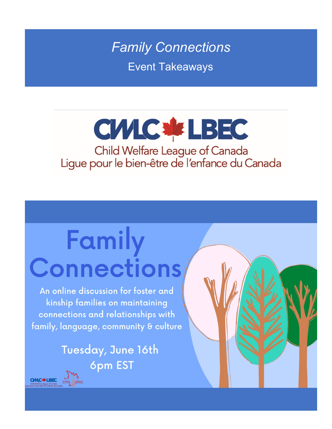**Family Connections Event Takeaways** 

## **CWIC \*\* LBEC** Child Welfare League of Canada<br>Ligue pour le bien-être de l'enfance du Canada

## Family Connections

An online discussion for foster and kinship families on maintaining connections and relationships with family, language, community & culture

> Tuesday, June 16th **6pm EST**

**CIVIC \* LBEC**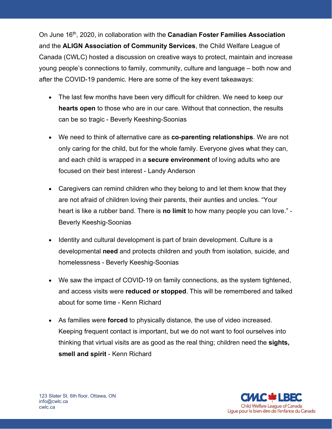On June 16th, 2020, in collaboration with the **Canadian Foster Families Association** and the **ALIGN Association of Community Services**, the Child Welfare League of Canada (CWLC) hosted a discussion on creative ways to protect, maintain and increase young people's connections to family, community, culture and language – both now and after the COVID-19 pandemic. Here are some of the key event takeaways:

- The last few months have been very difficult for children. We need to keep our **hearts open** to those who are in our care. Without that connection, the results can be so tragic - Beverly Keeshing-Soonias
- We need to think of alternative care as **co-parenting relationships**. We are not only caring for the child, but for the whole family. Everyone gives what they can, and each child is wrapped in a **secure environment** of loving adults who are focused on their best interest - Landy Anderson
- Caregivers can remind children who they belong to and let them know that they are not afraid of children loving their parents, their aunties and uncles. "Your heart is like a rubber band. There is **no limit** to how many people you can love." - Beverly Keeshig-Soonias
- Identity and cultural development is part of brain development. Culture is a developmental **need** and protects children and youth from isolation, suicide, and homelessness - Beverly Keeshig-Soonias
- We saw the impact of COVID-19 on family connections, as the system tightened, and access visits were **reduced or stopped**. This will be remembered and talked about for some time - Kenn Richard
- As families were **forced** to physically distance, the use of video increased. Keeping frequent contact is important, but we do not want to fool ourselves into thinking that virtual visits are as good as the real thing; children need the **sights, smell and spirit** - Kenn Richard